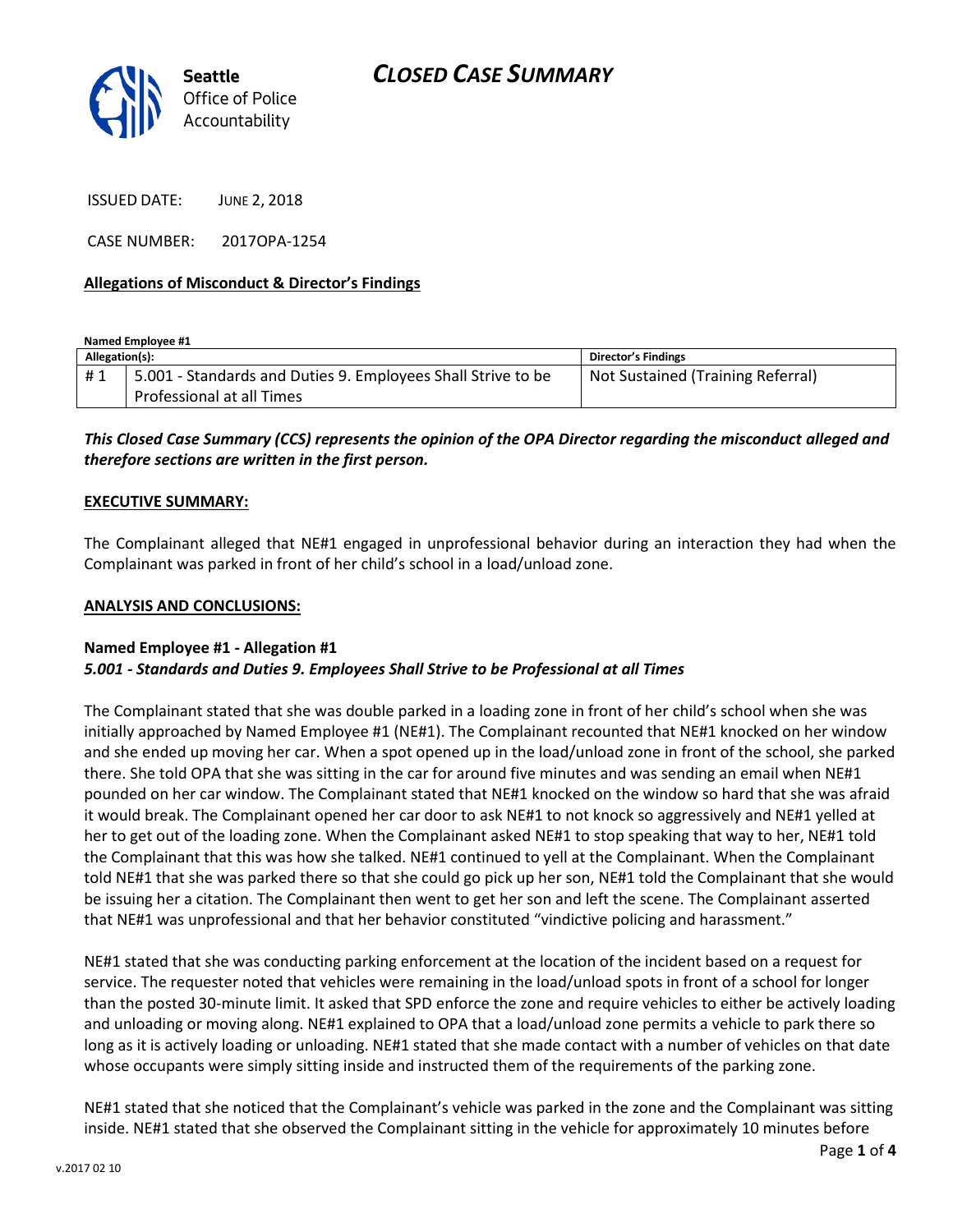

ISSUED DATE: JUNE 2, 2018

CASE NUMBER: 2017OPA-1254

## **Allegations of Misconduct & Director's Findings**

**Named Employee #1**

| Allegation(s): |                                                              | <b>Director's Findings</b>        |
|----------------|--------------------------------------------------------------|-----------------------------------|
| #1             | 5.001 - Standards and Duties 9. Employees Shall Strive to be | Not Sustained (Training Referral) |
|                | Professional at all Times                                    |                                   |

# *This Closed Case Summary (CCS) represents the opinion of the OPA Director regarding the misconduct alleged and therefore sections are written in the first person.*

### **EXECUTIVE SUMMARY:**

The Complainant alleged that NE#1 engaged in unprofessional behavior during an interaction they had when the Complainant was parked in front of her child's school in a load/unload zone.

#### **ANALYSIS AND CONCLUSIONS:**

### **Named Employee #1 - Allegation #1** *5.001 - Standards and Duties 9. Employees Shall Strive to be Professional at all Times*

The Complainant stated that she was double parked in a loading zone in front of her child's school when she was initially approached by Named Employee #1 (NE#1). The Complainant recounted that NE#1 knocked on her window and she ended up moving her car. When a spot opened up in the load/unload zone in front of the school, she parked there. She told OPA that she was sitting in the car for around five minutes and was sending an email when NE#1 pounded on her car window. The Complainant stated that NE#1 knocked on the window so hard that she was afraid it would break. The Complainant opened her car door to ask NE#1 to not knock so aggressively and NE#1 yelled at her to get out of the loading zone. When the Complainant asked NE#1 to stop speaking that way to her, NE#1 told the Complainant that this was how she talked. NE#1 continued to yell at the Complainant. When the Complainant told NE#1 that she was parked there so that she could go pick up her son, NE#1 told the Complainant that she would be issuing her a citation. The Complainant then went to get her son and left the scene. The Complainant asserted that NE#1 was unprofessional and that her behavior constituted "vindictive policing and harassment."

NE#1 stated that she was conducting parking enforcement at the location of the incident based on a request for service. The requester noted that vehicles were remaining in the load/unload spots in front of a school for longer than the posted 30-minute limit. It asked that SPD enforce the zone and require vehicles to either be actively loading and unloading or moving along. NE#1 explained to OPA that a load/unload zone permits a vehicle to park there so long as it is actively loading or unloading. NE#1 stated that she made contact with a number of vehicles on that date whose occupants were simply sitting inside and instructed them of the requirements of the parking zone.

NE#1 stated that she noticed that the Complainant's vehicle was parked in the zone and the Complainant was sitting inside. NE#1 stated that she observed the Complainant sitting in the vehicle for approximately 10 minutes before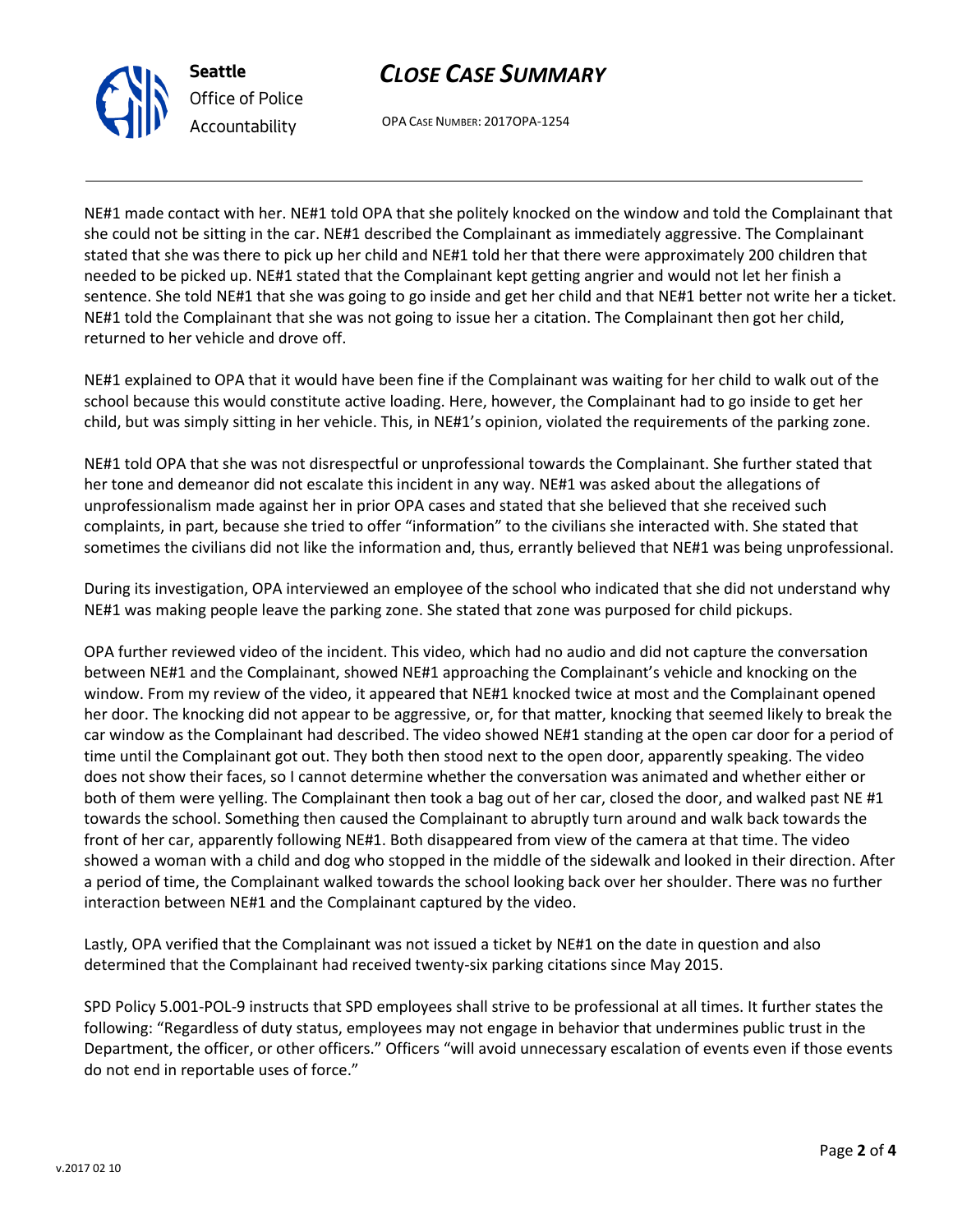



OPA CASE NUMBER: 2017OPA-1254

NE#1 made contact with her. NE#1 told OPA that she politely knocked on the window and told the Complainant that she could not be sitting in the car. NE#1 described the Complainant as immediately aggressive. The Complainant stated that she was there to pick up her child and NE#1 told her that there were approximately 200 children that needed to be picked up. NE#1 stated that the Complainant kept getting angrier and would not let her finish a sentence. She told NE#1 that she was going to go inside and get her child and that NE#1 better not write her a ticket. NE#1 told the Complainant that she was not going to issue her a citation. The Complainant then got her child, returned to her vehicle and drove off.

NE#1 explained to OPA that it would have been fine if the Complainant was waiting for her child to walk out of the school because this would constitute active loading. Here, however, the Complainant had to go inside to get her child, but was simply sitting in her vehicle. This, in NE#1's opinion, violated the requirements of the parking zone.

NE#1 told OPA that she was not disrespectful or unprofessional towards the Complainant. She further stated that her tone and demeanor did not escalate this incident in any way. NE#1 was asked about the allegations of unprofessionalism made against her in prior OPA cases and stated that she believed that she received such complaints, in part, because she tried to offer "information" to the civilians she interacted with. She stated that sometimes the civilians did not like the information and, thus, errantly believed that NE#1 was being unprofessional.

During its investigation, OPA interviewed an employee of the school who indicated that she did not understand why NE#1 was making people leave the parking zone. She stated that zone was purposed for child pickups.

OPA further reviewed video of the incident. This video, which had no audio and did not capture the conversation between NE#1 and the Complainant, showed NE#1 approaching the Complainant's vehicle and knocking on the window. From my review of the video, it appeared that NE#1 knocked twice at most and the Complainant opened her door. The knocking did not appear to be aggressive, or, for that matter, knocking that seemed likely to break the car window as the Complainant had described. The video showed NE#1 standing at the open car door for a period of time until the Complainant got out. They both then stood next to the open door, apparently speaking. The video does not show their faces, so I cannot determine whether the conversation was animated and whether either or both of them were yelling. The Complainant then took a bag out of her car, closed the door, and walked past NE #1 towards the school. Something then caused the Complainant to abruptly turn around and walk back towards the front of her car, apparently following NE#1. Both disappeared from view of the camera at that time. The video showed a woman with a child and dog who stopped in the middle of the sidewalk and looked in their direction. After a period of time, the Complainant walked towards the school looking back over her shoulder. There was no further interaction between NE#1 and the Complainant captured by the video.

Lastly, OPA verified that the Complainant was not issued a ticket by NE#1 on the date in question and also determined that the Complainant had received twenty-six parking citations since May 2015.

SPD Policy 5.001-POL-9 instructs that SPD employees shall strive to be professional at all times. It further states the following: "Regardless of duty status, employees may not engage in behavior that undermines public trust in the Department, the officer, or other officers." Officers "will avoid unnecessary escalation of events even if those events do not end in reportable uses of force."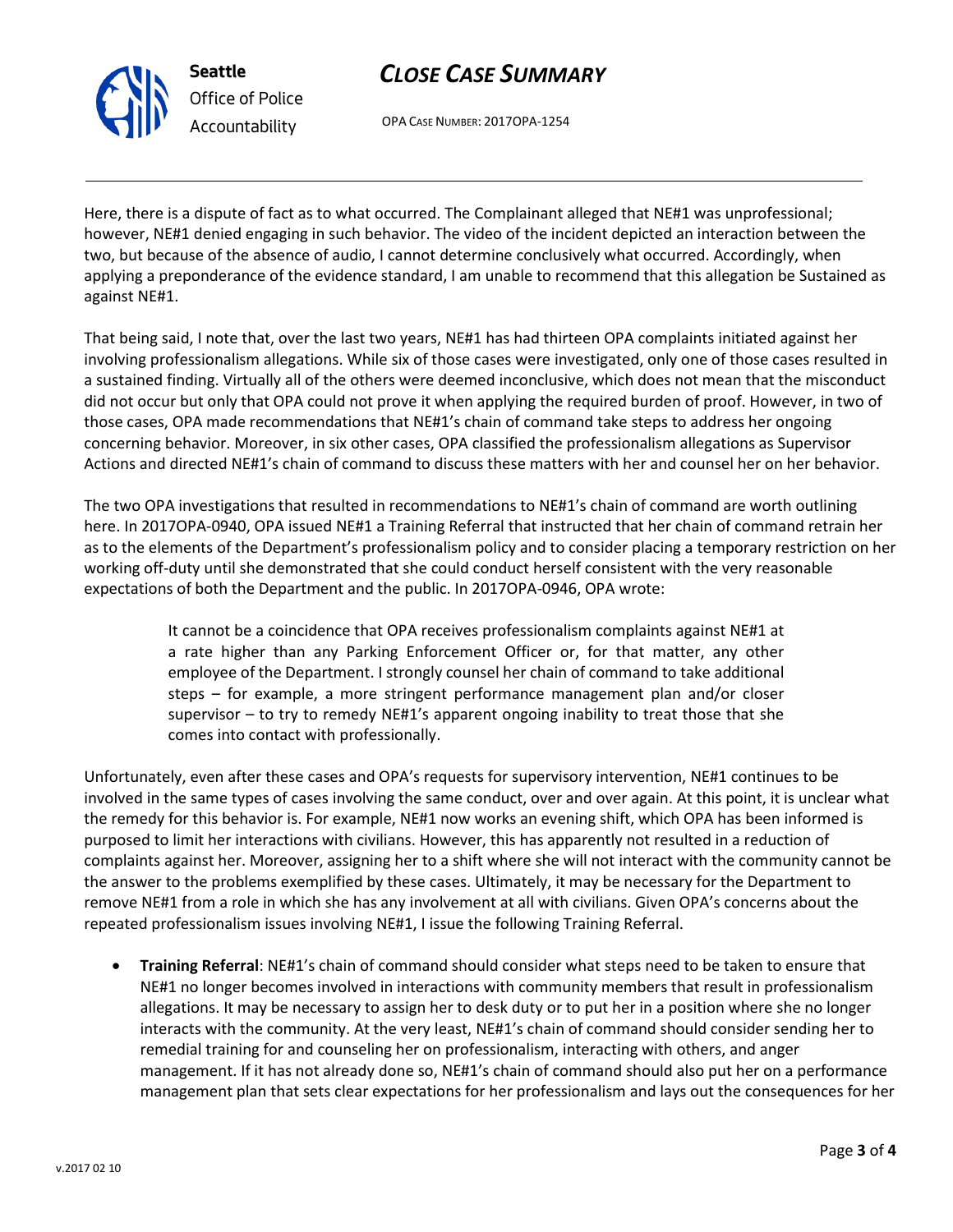

# *CLOSE CASE SUMMARY*

OPA CASE NUMBER: 2017OPA-1254

Here, there is a dispute of fact as to what occurred. The Complainant alleged that NE#1 was unprofessional; however, NE#1 denied engaging in such behavior. The video of the incident depicted an interaction between the two, but because of the absence of audio, I cannot determine conclusively what occurred. Accordingly, when applying a preponderance of the evidence standard, I am unable to recommend that this allegation be Sustained as against NE#1.

That being said, I note that, over the last two years, NE#1 has had thirteen OPA complaints initiated against her involving professionalism allegations. While six of those cases were investigated, only one of those cases resulted in a sustained finding. Virtually all of the others were deemed inconclusive, which does not mean that the misconduct did not occur but only that OPA could not prove it when applying the required burden of proof. However, in two of those cases, OPA made recommendations that NE#1's chain of command take steps to address her ongoing concerning behavior. Moreover, in six other cases, OPA classified the professionalism allegations as Supervisor Actions and directed NE#1's chain of command to discuss these matters with her and counsel her on her behavior.

The two OPA investigations that resulted in recommendations to NE#1's chain of command are worth outlining here. In 2017OPA-0940, OPA issued NE#1 a Training Referral that instructed that her chain of command retrain her as to the elements of the Department's professionalism policy and to consider placing a temporary restriction on her working off-duty until she demonstrated that she could conduct herself consistent with the very reasonable expectations of both the Department and the public. In 2017OPA-0946, OPA wrote:

> It cannot be a coincidence that OPA receives professionalism complaints against NE#1 at a rate higher than any Parking Enforcement Officer or, for that matter, any other employee of the Department. I strongly counsel her chain of command to take additional steps – for example, a more stringent performance management plan and/or closer supervisor – to try to remedy NE#1's apparent ongoing inability to treat those that she comes into contact with professionally.

Unfortunately, even after these cases and OPA's requests for supervisory intervention, NE#1 continues to be involved in the same types of cases involving the same conduct, over and over again. At this point, it is unclear what the remedy for this behavior is. For example, NE#1 now works an evening shift, which OPA has been informed is purposed to limit her interactions with civilians. However, this has apparently not resulted in a reduction of complaints against her. Moreover, assigning her to a shift where she will not interact with the community cannot be the answer to the problems exemplified by these cases. Ultimately, it may be necessary for the Department to remove NE#1 from a role in which she has any involvement at all with civilians. Given OPA's concerns about the repeated professionalism issues involving NE#1, I issue the following Training Referral.

• **Training Referral**: NE#1's chain of command should consider what steps need to be taken to ensure that NE#1 no longer becomes involved in interactions with community members that result in professionalism allegations. It may be necessary to assign her to desk duty or to put her in a position where she no longer interacts with the community. At the very least, NE#1's chain of command should consider sending her to remedial training for and counseling her on professionalism, interacting with others, and anger management. If it has not already done so, NE#1's chain of command should also put her on a performance management plan that sets clear expectations for her professionalism and lays out the consequences for her